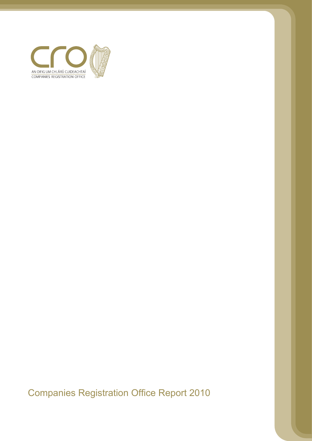

Companies Registration Office Report 2010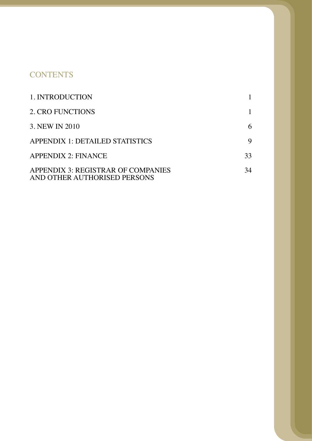# **CONTENTS**

| 1. INTRODUCTION                                                    |    |
|--------------------------------------------------------------------|----|
| 2. CRO FUNCTIONS                                                   |    |
| 3. NEW IN 2010                                                     | 6  |
| <b>APPENDIX 1: DETAILED STATISTICS</b>                             | 9  |
| <b>APPENDIX 2: FINANCE</b>                                         | 33 |
| APPENDIX 3: REGISTRAR OF COMPANIES<br>AND OTHER AUTHORISED PERSONS | 34 |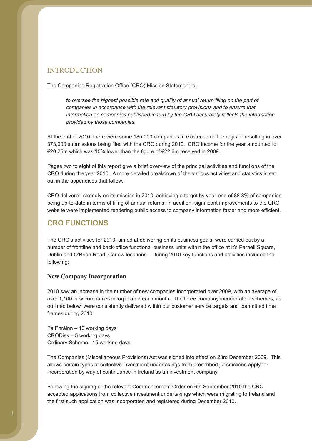## **INTRODUCTION**

The Companies Registration Office (CRO) Mission Statement is:

*to oversee the highest possible rate and quality of annual return filing on the part of companies in accordance with the relevant statutory provisions and to ensure that information on companies published in turn by the CRO accurately reflects the information provided by those companies.*

At the end of 2010, there were some 185,000 companies in existence on the register resulting in over 373,000 submissions being filed with the CRO during 2010. CRO income for the year amounted to €20.25m which was 10% lower than the figure of €22.6m received in 2009.

Pages two to eight of this report give a brief overview of the principal activities and functions of the CRO during the year 2010. A more detailed breakdown of the various activities and statistics is set out in the appendices that follow.

CRO delivered strongly on its mission in 2010, achieving a target by year-end of 88.3% of companies being up-to-date in terms of filing of annual returns. In addition, significant improvements to the CRO website were implemented rendering public access to company information faster and more efficient.

## **CRO FUNCTIONS**

The CRO's activities for 2010, aimed at delivering on its business goals, were carried out by a number of frontline and back-office functional business units within the office at it's Parnell Square, Dublin and O'Brien Road, Carlow locations. During 2010 key functions and activities included the following:

### **New Company Incorporation**

2010 saw an increase in the number of new companies incorporated over 2009, with an average of over 1,100 new companies incorporated each month. The three company incorporation schemes, as outlined below, were consistently delivered within our customer service targets and committed time frames during 2010.

Fe Phráinn – 10 working days CRODisk – 5 working days Ordinary Scheme –15 working days;

The Companies (Miscellaneous Provisions) Act was signed into effect on 23rd December 2009. This allows certain types of collective investment undertakings from prescribed jurisdictions apply for incorporation by way of continuance in Ireland as an investment company.

Following the signing of the relevant Commencement Order on 6th September 2010 the CRO accepted applications from collective investment undertakings which were migrating to Ireland and the first such application was incorporated and registered during December 2010.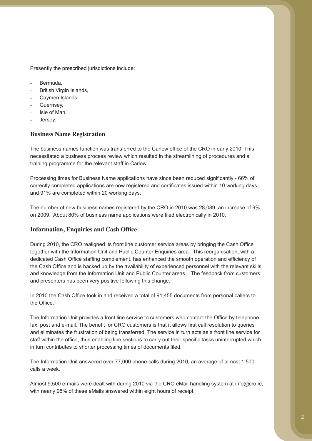Presently the prescribed jurisdictions include:

- Bermuda,
- British Virgin Islands,
- Caymen Islands,
- Guernsey,
- Isle of Man,
- Jersey.

### **Business Name Registration**

The business names function was transferred to the Carlow office of the CRO in early 2010. This necessitated a business process review which resulted in the streamlining of procedures and a training programme for the relevant staff in Carlow.

Processing times for Business Name applications have since been reduced significantly - 66% of correctly completed applications are now registered and certificates issued within 10 working days and 91% are completed within 20 working days.

The number of new business names registered by the CRO in 2010 was 28,089, an increase of 9% on 2009. About 80% of business name applications were filed electronically in 2010.

### **Information, Enquiries and Cash Office**

During 2010, the CRO realigned its front line customer service areas by bringing the Cash Office together with the Information Unit and Public Counter Enquiries area. This reorganisation, with a dedicated Cash Office staffing complement, has enhanced the smooth operation and efficiency of the Cash Office and is backed up by the availability of experienced personnel with the relevant skills and knowledge from the Information Unit and Public Counter areas. The feedback from customers and presenters has been very positive following this change.

In 2010 the Cash Office took in and received a total of 91,455 documents from personal callers to the Office.

The Information Unit provides a front line service to customers who contact the Office by telephone, fax, post and e-mail. The benefit for CRO customers is that it allows first call resolution to queries and eliminates the frustration of being transferred. The service in turn acts as a front line service for staff within the office, thus enabling line sections to carry out their specific tasks uninterrupted which in turn contributes to shorter processing times of documents filed.

The Information Unit answered over 77,000 phone calls during 2010, an average of almost 1,500 calls a week.

Almost 9,500 e-mails were dealt with during 2010 via the CRO eMail handling system at info@cro.ie, with nearly 98% of these eMails answered within eight hours of receipt.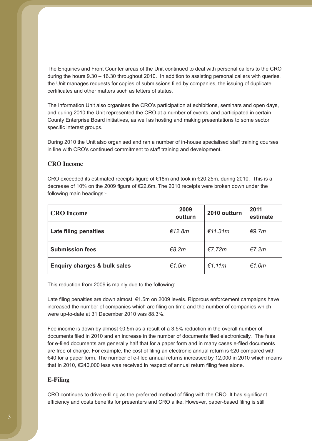The Enquiries and Front Counter areas of the Unit continued to deal with personal callers to the CRO during the hours 9.30 – 16.30 throughout 2010. In addition to assisting personal callers with queries, the Unit manages requests for copies of submissions filed by companies, the issuing of duplicate certificates and other matters such as letters of status.

The Information Unit also organises the CRO's participation at exhibitions, seminars and open days, and during 2010 the Unit represented the CRO at a number of events, and participated in certain County Enterprise Board initiatives, as well as hosting and making presentations to some sector specific interest groups.

During 2010 the Unit also organised and ran a number of in-house specialised staff training courses in line with CRO's continued commitment to staff training and development.

### **CRO Income**

CRO exceeded its estimated receipts figure of €18m and took in €20.25m. during 2010. This is a decrease of 10% on the 2009 figure of €22.6m. The 2010 receipts were broken down under the following main headings:-

| <b>CRO</b> Income                       | 2009<br>outturn | 2010 outturn | 2011<br>estimate |
|-----------------------------------------|-----------------|--------------|------------------|
| Late filing penalties                   | €12.8 $m$       | €11.31 $m$   | €9.7m            |
| <b>Submission fees</b>                  | €8.2 $m$        | €7.72m       | $E$ 7.2m         |
| <b>Enquiry charges &amp; bulk sales</b> | €1.5m           | €1.11m       | €1.0m            |

This reduction from 2009 is mainly due to the following:

Late filing penalties are down almost €1.5m on 2009 levels. Rigorous enforcement campaigns have increased the number of companies which are filing on time and the number of companies which were up-to-date at 31 December 2010 was 88.3%.

Fee income is down by almost €0.5m as a result of a 3.5% reduction in the overall number of documents filed in 2010 and an increase in the number of documents filed electronically. The fees for e-filed documents are generally half that for a paper form and in many cases e-filed documents are free of charge. For example, the cost of filing an electronic annual return is €20 compared with €40 for a paper form. The number of e-filed annual returns increased by 12,000 in 2010 which means that in 2010, €240,000 less was received in respect of annual return filing fees alone.

### **E-Filing**

CRO continues to drive e-filing as the preferred method of filing with the CRO. It has significant efficiency and costs benefits for presenters and CRO alike. However, paper-based filing is still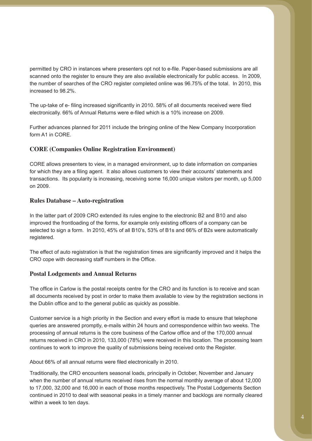permitted by CRO in instances where presenters opt not to e-file. Paper-based submissions are all scanned onto the register to ensure they are also available electronically for public access. In 2009, the number of searches of the CRO register completed online was 96.75% of the total. In 2010, this increased to 98.2%.

The up-take of e- filing increased significantly in 2010. 58% of all documents received were filed electronically. 66% of Annual Returns were e-filed which is a 10% increase on 2009.

Further advances planned for 2011 include the bringing online of the New Company Incorporation form A1 in CORE.

### **CORE (Companies Online Registration Environment)**

CORE allows presenters to view, in a managed environment, up to date information on companies for which they are a filing agent. It also allows customers to view their accounts' statements and transactions. Its popularity is increasing, receiving some 16,000 unique visitors per month, up 5,000 on 2009.

### **Rules Database – Auto-registration**

In the latter part of 2009 CRO extended its rules engine to the electronic B2 and B10 and also improved the frontloading of the forms, for example only existing officers of a company can be selected to sign a form. In 2010, 45% of all B10's, 53% of B1s and 66% of B2s were automatically registered.

The effect of auto registration is that the registration times are significantly improved and it helps the CRO cope with decreasing staff numbers in the Office.

### **Postal Lodgements and Annual Returns**

The office in Carlow is the postal receipts centre for the CRO and its function is to receive and scan all documents received by post in order to make them available to view by the registration sections in the Dublin office and to the general public as quickly as possible.

Customer service is a high priority in the Section and every effort is made to ensure that telephone queries are answered promptly, e-mails within 24 hours and correspondence within two weeks. The processing of annual returns is the core business of the Carlow office and of the 170,000 annual returns received in CRO in 2010, 133,000 (78%) were received in this location. The processing team continues to work to improve the quality of submissions being received onto the Register.

About 66% of all annual returns were filed electronically in 2010.

Traditionally, the CRO encounters seasonal loads, principally in October, November and January when the number of annual returns received rises from the normal monthly average of about 12,000 to 17,000, 32,000 and 16,000 in each of those months respectively. The Postal Lodgements Section continued in 2010 to deal with seasonal peaks in a timely manner and backlogs are normally cleared within a week to ten days.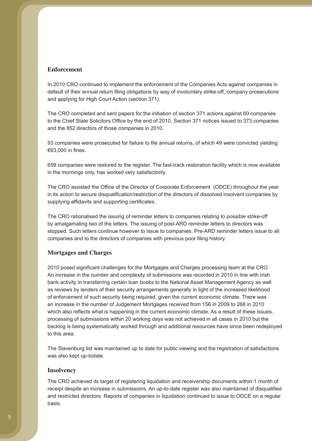### **Enforcement**

In 2010 CRO continued to implement the enforcement of the Companies Acts against companies in default of their annual return filing obligations by way of involuntary strike-off, company prosecutions and applying for High Court Action (section 371).

The CRO completed and sent papers for the initiation of section 371 actions against 60 companies to the Chief State Solicitors Office by the end of 2010. Section 371 notices issued to 373 companies and the 852 directors of those companies in 2010.

93 companies were prosecuted for failure to file annual returns, of which 49 were convicted yielding €63,000 in fines.

659 companies were restored to the register. The fast-track restoration facility which is now available in the mornings only, has worked very satisfactorily.

The CRO assisted the Office of the Director of Corporate Enforcement (ODCE) throughout the year in its action to secure disqualification/restriction of the directors of dissolved insolvent companies by supplying affidavits and supporting certificates.

The CRO rationalised the issuing of reminder letters to companies relating to possible strike-off by amalgamating two of the letters. The issuing of post-ARD reminder letters to directors was stopped. Such letters continue however to issue to companies. Pre-ARD reminder letters issue to all companies and to the directors of companies with previous poor filing history.

### **Mortgages and Charges**

2010 posed significant challenges for the Mortgages and Charges processing team at the CRO. An increase in the number and complexity of submissions was recorded in 2010 in line with Irish bank activity in transferring certain loan books to the National Asset Management Agency as well as reviews by lenders of their security arrangements generally in light of the increased likelihood of enforcement of such security being required, given the current economic climate. There was an increase in the number of Judgement Mortgages received from 156 in 2009 to 268 in 2010 which also reflects what is happening in the current economic climate. As a result of these issues, processing of submissions within 20 working days was not achieved in all cases in 2010 but the backlog is being systematically worked through and additional resources have since been redeployed to this area.

The Slavenburg list was maintained up to date for public viewing and the registration of satisfactions was also kept up-todate.

#### **Insolvency**

The CRO achieved its target of registering liquidation and receivership documents within 1 month of receipt despite an increase in submissions. An up-to-date register was also maintained of disqualified and restricted directors. Reports of companies in liquidation continued to issue to ODCE on a regular basis.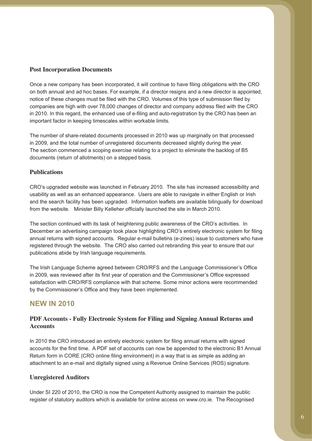### **Post Incorporation Documents**

Once a new company has been incorporated, it will continue to have filing obligations with the CRO on both annual and ad hoc bases. For example, if a director resigns and a new director is appointed, notice of these changes must be filed with the CRO. Volumes of this type of submission filed by companies are high with over 78,000 changes of director and company address filed with the CRO in 2010. In this regard, the enhanced use of e-filing and auto-registration by the CRO has been an important factor in keeping timescales within workable limits*.* 

The number of share-related documents processed in 2010 was up marginally on that processed in 2009, and the total number of unregistered documents decreased slightly during the year. The section commenced a scoping exercise relating to a project to eliminate the backlog of B5 documents (return of allotments) on a stepped basis.

### **Publications**

CRO's upgraded website was launched in February 2010. The site has increased accessibility and usability as well as an enhanced appearance. Users are able to navigate in either English or Irish and the search facility has been upgraded. Information leaflets are available bilingually for download from the website. Minister Billy Kelleher officially launched the site in March 2010.

The section continued with its task of heightening public awareness of the CRO's activities. In December an advertising campaign took place highlighting CRO's entirely electronic system for filing annual returns with signed accounts. Regular e-mail bulletins (e-zines) issue to customers who have registered through the website. The CRO also carried out rebranding this year to ensure that our publications abide by Irish language requirements.

The Irish Language Scheme agreed between CRO/RFS and the Language Commissioner's Office in 2009, was reviewed after its first year of operation and the Commissioner's Office expressed satisfaction with CRO/RFS compliance with that scheme. Some minor actions were recommended by the Commissioner's Office and they have been implemented.

## **NEW IN 2010**

### **PDF Accounts - Fully Electronic System for Filing and Signing Annual Returns and Accounts**

In 2010 the CRO introduced an entirely electronic system for filing annual returns with signed accounts for the first time. A PDF set of accounts can now be appended to the electronic B1 Annual Return form in CORE (CRO online filing environment) in a way that is as simple as adding an attachment to an e-mail and digitally signed using a Revenue Online Services (ROS) signature.

### **Unregistered Auditors**

Under SI 220 of 2010, the CRO is now the Competent Authority assigned to maintain the public register of statutory auditors which is available for online access on www.cro.ie. The Recognised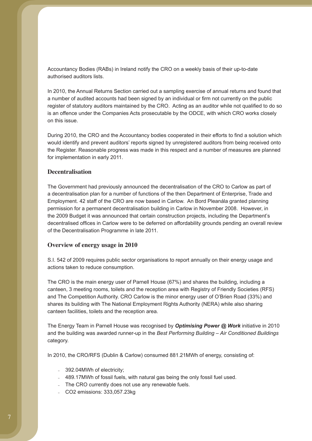Accountancy Bodies (RABs) in Ireland notify the CRO on a weekly basis of their up-to-date authorised auditors lists.

In 2010, the Annual Returns Section carried out a sampling exercise of annual returns and found that a number of audited accounts had been signed by an individual or firm not currently on the public register of statutory auditors maintained by the CRO. Acting as an auditor while not qualified to do so is an offence under the Companies Acts prosecutable by the ODCE, with which CRO works closely on this issue.

During 2010, the CRO and the Accountancy bodies cooperated in their efforts to find a solution which would identify and prevent auditors' reports signed by unregistered auditors from being received onto the Register. Reasonable progress was made in this respect and a number of measures are planned for implementation in early 2011.

### **Decentralisation**

The Government had previously announced the decentralisation of the CRO to Carlow as part of a decentralisation plan for a number of functions of the then Department of Enterprise, Trade and Employment. 42 staff of the CRO are now based in Carlow. An Bord Pleanála granted planning permission for a permanent decentralisation building in Carlow in November 2008. However, in the 2009 Budget it was announced that certain construction projects, including the Department's decentralised offices in Carlow were to be deferred on affordability grounds pending an overall review of the Decentralisation Programme in late 2011.

#### **Overview of energy usage in 2010**

S.I. 542 of 2009 requires public sector organisations to report annually on their energy usage and actions taken to reduce consumption.

The CRO is the main energy user of Parnell House (67%) and shares the building, including a canteen, 3 meeting rooms, toilets and the reception area with Registry of Friendly Societies (RFS) and The Competition Authority. CRO Carlow is the minor energy user of O'Brien Road (33%) and shares its building with The National Employment Rights Authority (NERA) while also sharing canteen facilities, toilets and the reception area.

The Energy Team in Parnell House was recognised by *Optimising Power @ Work* initiative in 2010 and the building was awarded runner-up in the *Best Performing Building – Air Conditioned Buildings* category.

In 2010, the CRO/RFS (Dublin & Carlow) consumed 881.21MWh of energy, consisting of:

- 392.04MWh of electricity:
- 489.17MWh of fossil fuels, with natural gas being the only fossil fuel used.
- The CRO currently does not use any renewable fuels.
- - CO2 emissions: 333,057.23kg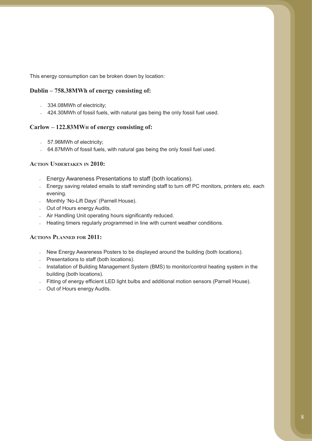This energy consumption can be broken down by location:

### **Dublin – 758.38MWh of energy consisting of:**

- 334.08MWh of electricity;
- 424.30 MWh of fossil fuels, with natural gas being the only fossil fuel used.

### **Carlow – 122.83MWh of energy consisting of:**

- 57.96MWh of electricity;
- 64.87MWh of fossil fuels, with natural gas being the only fossil fuel used.

### **Action Undertaken in 2010:**

- Energy Awareness Presentations to staff (both locations).
- Energy saving related emails to staff reminding staff to turn off PC monitors, printers etc. each evening.
- Monthly 'No-Lift Days' (Parnell House).
- Out of Hours energy Audits.
- Air Handling Unit operating hours significantly reduced.
- Heating timers regularly programmed in line with current weather conditions.

### **Actions Planned for 2011:**

- New Energy Awareness Posters to be displayed around the building (both locations).
- Presentations to staff (both locations).
- Installation of Building Management System (BMS) to monitor/control heating system in the building (both locations).
- Fitting of energy efficient LED light bulbs and additional motion sensors (Parnell House).
- Out of Hours energy Audits.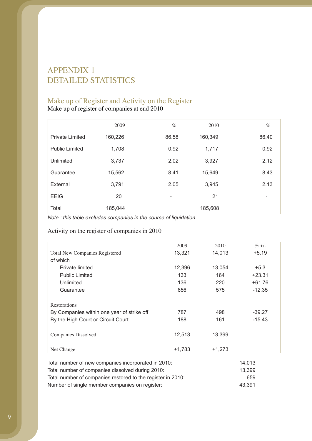# APPENDIX 1 DETAILED STATISTICS

## Make up of Register and Activity on the Register

Make up of register of companies at end 2010

|                        | 2009    | $\%$  | 2010    | $\%$                     |
|------------------------|---------|-------|---------|--------------------------|
| <b>Private Limited</b> | 160,226 | 86.58 | 160,349 | 86.40                    |
| <b>Public Limited</b>  | 1,708   | 0.92  | 1,717   | 0.92                     |
| Unlimited              | 3,737   | 2.02  | 3,927   | 2.12                     |
| Guarantee              | 15,562  | 8.41  | 15,649  | 8.43                     |
| External               | 3,791   | 2.05  | 3,945   | 2.13                     |
| <b>EEIG</b>            | 20      |       | 21      | $\overline{\phantom{a}}$ |
| Total                  | 185,044 |       | 185,608 |                          |

*Note : this table excludes companies in the course of liquidation*

Activity on the register of companies in 2010

|                                                                    | 2009     | 2010     | $\% +/-$ |
|--------------------------------------------------------------------|----------|----------|----------|
| <b>Total New Companies Registered</b>                              | 13,321   | 14,013   | $+5.19$  |
| of which                                                           |          |          |          |
| Private limited                                                    | 12,396   | 13,054   | $+5.3$   |
| <b>Public Limited</b>                                              | 133      | 164      | $+23.31$ |
| Unlimited                                                          | 136      | 220      | $+61.76$ |
| Guarantee                                                          | 656      | 575      | $-12.35$ |
| Restorations                                                       |          |          |          |
| By Companies within one year of strike off                         | 787      | 498      | $-39.27$ |
| By the High Court or Circuit Court                                 | 188      | 161      | $-15.43$ |
| Companies Dissolved                                                | 12,513   | 13,399   |          |
| Net Change                                                         | $+1,783$ | $+1,273$ |          |
| Total number of new companies incorporated in 2010: $\overline{a}$ |          |          | 14 013   |

| <u>TULAT HUITIDEL OF HEW COMPANIES INCOLDUIALED IN ZUI U.</u> | 14. U I J |
|---------------------------------------------------------------|-----------|
| Total number of companies dissolved during 2010:              | 13.399    |
| Total number of companies restored to the register in 2010:   | 659       |
| Number of single member companies on register:                | 43.391    |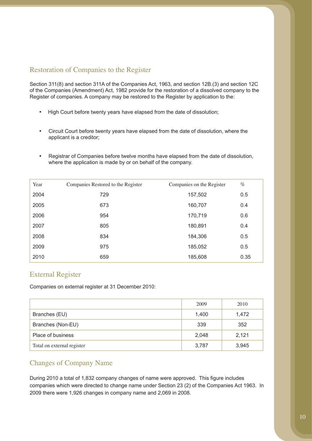## Restoration of Companies to the Register

Section 311(8) and section 311A of the Companies Act, 1963, and section 12B.(3) and section 12C of the Companies (Amendment) Act, 1982 provide for the restoration of a dissolved company to the Register of companies. A company may be restored to the Register by application to the:

- High Court before twenty years have elapsed from the date of dissolution;
- • Circuit Court before twenty years have elapsed from the date of dissolution, where the applicant is a creditor;
- • Registrar of Companies before twelve months have elapsed from the date of dissolution, where the application is made by or on behalf of the company.

| Year | Companies Restored to the Register | Companies on the Register | $\%$ |
|------|------------------------------------|---------------------------|------|
| 2004 | 729                                | 157,502                   | 0.5  |
| 2005 | 673                                | 160,707                   | 0.4  |
| 2006 | 954                                | 170,719                   | 0.6  |
| 2007 | 805                                | 180,891                   | 0.4  |
| 2008 | 834                                | 184,306                   | 0.5  |
| 2009 | 975                                | 185,052                   | 0.5  |
| 2010 | 659                                | 185,608                   | 0.35 |

## External Register

Companies on external register at 31 December 2010:

|                            | 2009  | 2010  |
|----------------------------|-------|-------|
| Branches (EU)              | 1,400 | 1,472 |
| Branches (Non-EU)          | 339   | 352   |
| Place of business          | 2,048 | 2,121 |
| Total on external register | 3,787 | 3,945 |

## Changes of Company Name

During 2010 a total of 1,832 company changes of name were approved. This figure includes companies which were directed to change name under Section 23 (2) of the Companies Act 1963. In 2009 there were 1,926 changes in company name and 2,069 in 2008.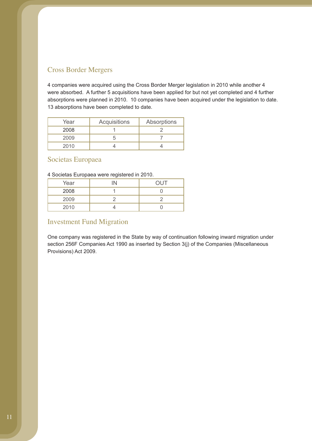## Cross Border Mergers

4 companies were acquired using the Cross Border Merger legislation in 2010 while another 4 were absorbed. A further 5 acquisitions have been applied for but not yet completed and 4 further absorptions were planned in 2010. 10 companies have been acquired under the legislation to date. 13 absorptions have been completed to date.

| Year | Acquisitions | Absorptions |
|------|--------------|-------------|
| 2008 |              |             |
| 2009 |              |             |
| 2010 |              |             |

## Societas Europaea

### 4 Societas Europaea were registered in 2010.

| Year | IN | <b>OUT</b> |
|------|----|------------|
| 2008 |    |            |
| 2009 |    |            |
| 2010 |    |            |

## Investment Fund Migration

One company was registered in the State by way of continuation following inward migration under section 256F Companies Act 1990 as inserted by Section 3(j) of the Companies (Miscellaneous Provisions) Act 2009.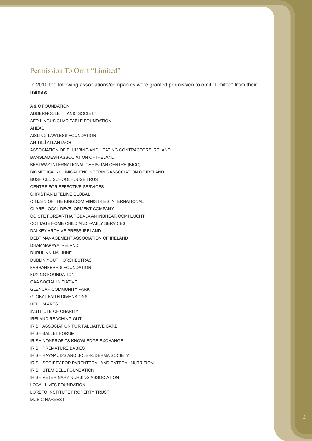## Permission To Omit "Limited"

In 2010 the following associations/companies were granted permission to omit "Limited" from their names:

A & C FOUNDATION ADDERGOOLE TITANIC SOCIETY AER LINGUS CHARITABLE FOUNDATION AHEAD AISLING LAWLESS FOUNDATION AN TSLÍ ATLANTACH ASSOCIATION OF PLUMBING AND HEATING CONTRACTORS IRELAND BANGLADESH ASSOCIATION OF IRELAND BESTWAY INTERNATIONAL CHRISTIAN CENTRE (BICC) BIOMEDICAL / CLINICAL ENGINEERING ASSOCIATION OF IRELAND BUSH OLD SCHOOLHOUSE TRUST CENTRE FOR EFFECTIVE SERVICES CHRISTIAN LIFELINE GLOBAL CITIZEN OF THE KINGDOM MINISTRIES INTERNATIONAL CLARE LOCAL DEVELOPMENT COMPANY COISTE FORBARTHA POBALA AN INBHEAR COMHLUCHT COTTAGE HOME CHILD AND FAMILY SERVICES DALKEY ARCHIVE PRESS IRELAND DEBT MANAGEMENT ASSOCIATION OF IRELAND DHAMMAKAYA IRELAND DUBHLINN NA LINNE DUBLIN YOUTH ORCHESTRAS FARRANFERRIS FOUNDATION FUXING FOUNDATION GAA SOCIAL INITIATIVE GLENCAR COMMUNITY PARK GLOBAL FAITH DIMENSIONS HELIUM ARTS INSTITUTE OF CHARITY IRELAND REACHING OUT IRISH ASSOCIATION FOR PALLIATIVE CARE IRISH BALLET FORUM IRISH NONPROFITS KNOWLEDGE EXCHANGE IRISH PREMATURE BABIES IRISH RAYNAUD'S AND SCLERODERMA SOCIETY IRISH SOCIETY FOR PARENTERAL AND ENTERAL NUTRITION IRISH STEM CELL FOUNDATION IRISH VETERINARY NURSING ASSOCIATION LOCAL LIVES FOUNDATION LORETO INSTITUTE PROPERTY TRUST MUSIC HARVEST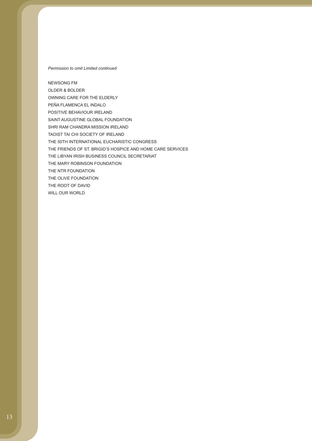#### *Permission to omit Limited continued*

NEWSONG FM OLDER & BOLDER OWNING CARE FOR THE ELDERLY PEÑA FLAMENCA EL INDALO POSITIVE BEHAVIOUR IRELAND SAINT AUGUSTINE GLOBAL FOUNDATION SHRI RAM CHANDRA MISSION IRELAND TAOIST TAI CHI SOCIETY OF IRELAND THE 50TH INTERNATIONAL EUCHARISTIC CONGRESS THE FRIENDS OF ST. BRIGID'S HOSPICE AND HOME CARE SERVICES THE LIBYAN IRISH BUSINESS COUNCIL SECRETARIAT THE MARY ROBINSON FOUNDATION THE NTR FOUNDATION THE OLIVE FOUNDATION THE ROOT OF DAVID WILL OUR WORLD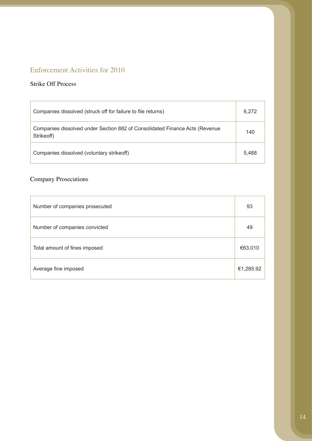## Enforcement Activities for 2010

## Strike Off Process

| Companies dissolved (struck off for failure to file returns)                              | 6,272 |
|-------------------------------------------------------------------------------------------|-------|
| Companies dissolved under Section 882 of Consolidated Finance Acts (Revenue<br>Strikeoff) | 140   |
| Companies dissolved (voluntary strike off)                                                | 5.488 |

## Company Prosecutions

| Number of companies prosecuted | 93        |
|--------------------------------|-----------|
| Number of companies convicted  | 49        |
| Total amount of fines imposed  | €63,010   |
| Average fine imposed           | €1,285.92 |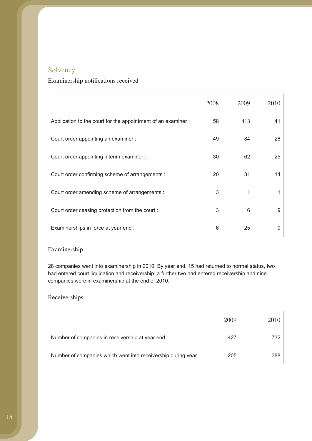## Solvency

## Examinership notifications received

|                                                               | 2008 | 2009 | 2010 |
|---------------------------------------------------------------|------|------|------|
| Application to the court for the appointment of an examiner : | 58   | 113  | 41   |
| Court order appointing an examiner :                          | 49   | 84   | 28   |
| Court order appointing interim examiner :                     | 30   | 62   | 25   |
| Court order confirming scheme of arrangements :               | 20   | 31   | 14   |
| Court order amending scheme of arrangements :                 | 3    | 1    |      |
| Court order ceasing protection from the court:                | 3    | 6    | 9    |
| Examinerships in force at year end :                          | 6    | 25   | 9    |

### Examinership

28 companies went into examinership in 2010. By year end, 15 had returned to normal status, two had entered court liquidation and receivership, a further two had entered receivership and nine companies were in examinership at the end of 2010.

## Receiverships

|                                                              | 2009 | 2010 |
|--------------------------------------------------------------|------|------|
| Number of companies in receivership at year end              | 427  | 732  |
| Number of companies which went into receivership during year | 205  | 388  |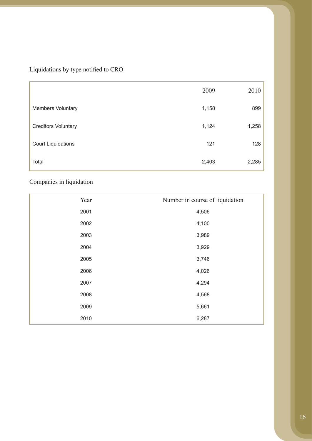Liquidations by type notified to CRO

|                            | 2009  | 2010  |
|----------------------------|-------|-------|
| <b>Members Voluntary</b>   | 1,158 | 899   |
| <b>Creditors Voluntary</b> | 1,124 | 1,258 |
| <b>Court Liquidations</b>  | 121   | 128   |
| Total                      | 2,403 | 2,285 |

## Companies in liquidation

| Year | Number in course of liquidation |
|------|---------------------------------|
| 2001 | 4,506                           |
| 2002 | 4,100                           |
| 2003 | 3,989                           |
| 2004 | 3,929                           |
| 2005 | 3,746                           |
| 2006 | 4,026                           |
| 2007 | 4,294                           |
| 2008 | 4,568                           |
| 2009 | 5,661                           |
| 2010 | 6,287                           |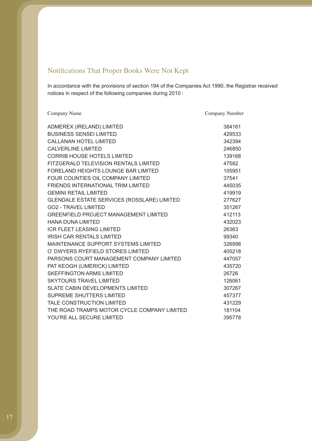## Notifications That Proper Books Were Not Kept

In accordance with the provisions of section 194 of the Companies Act 1990, the Registrar received notices in respect of the following companies during 2010 :

| Company Name                                 | Company Number |
|----------------------------------------------|----------------|
| ADMEREX (IRELAND) LIMITED                    | 384161         |
| <b>BUSINESS SENSEI LIMITED</b>               | 429533         |
| <b>CALLANAN HOTEL LIMITED</b>                | 342394         |
| <b>CALVERLINE LIMITED</b>                    | 246850         |
| <b>CORRIB HOUSE HOTELS LIMITED</b>           | 139168         |
| FITZGERALD TELEVISION RENTALS LIMITED        | 47582          |
| <b>FORELAND HEIGHTS LOUNGE BAR LIMITED</b>   | 105951         |
| FOUR COUNTIES OIL COMPANY LIMITED            | 37541          |
| FRIENDS INTERNATIONAL TRIM LIMITED           | 445035         |
| <b>GEMINI RETAIL LIMITED</b>                 | 419919         |
| GLENDALE ESTATE SERVICES (ROSSLARE) LIMITED  | 277627         |
| <b>GO2 - TRAVEL LIMITED</b>                  | 351267         |
| <b>GREENFIELD PROJECT MANAGEMENT LIMITED</b> | 412113         |
| <b>HANA DUNA LIMITED</b>                     | 432023         |
| <b>ICR FLEET LEASING LIMITED</b>             | 26363          |
| <b>IRISH CAR RENTALS LIMITED</b>             | 99340          |
| MAINTENANCE SUPPORT SYSTEMS LIMITED          | 326998         |
| O' DWYERS RYEFIELD STORES LIMITED            | 405218         |
| PARSONS COURT MANAGEMENT COMPANY LIMITED     | 447057         |
| PAT KEOGH (LIMERICK) LIMITED                 | 435720         |
| <b>SKEFFINGTON ARMS LIMITED</b>              | 26726          |
| <b>SKYTOURS TRAVEL LIMITED</b>               | 126061         |
| <b>SLATE CABIN DEVELOPMENTS LIMITED</b>      | 307267         |
| SUPREME SHUTTERS LIMITED                     | 457377         |
| TALE CONSTRUCTION LIMITED                    | 431229         |
| THE ROAD TRAMPS MOTOR CYCLE COMPANY LIMITED  | 181104         |
| YOU'RE ALL SECURE LIMITED                    | 395778         |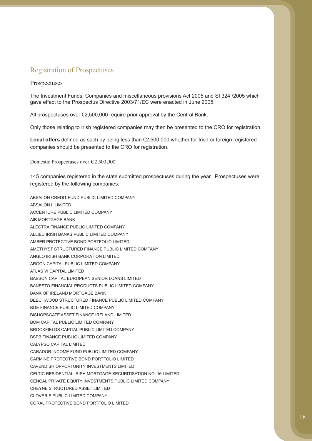## Registration of Prospectuses

#### Prospectuses

The Investment Funds, Companies and miscellaneous provisions Act 2005 and SI 324 /2005 which gave effect to the Prospectus Directive 2003/71/EC were enacted in June 2005.

All prospectuses over €2,500,000 require prior approval by the Central Bank.

Only those relating to Irish registered companies may then be presented to the CRO for registration.

**Local offers** defined as such by being less than €2,500,000 whether for Irish or foreign registered companies should be presented to the CRO for registration.

Domestic Prospectuses over €2,500,000

145 companies registered in the state submitted prospectuses during the year. Prospectuses were registered by the following companies:

ABSALON CREDIT FUND PUBLIC LIMITED COMPANY ABSALON II LIMITED ACCENTURE PUBLIC LIMITED COMPANY AIB MORTGAGE BANK ALECTRA FINANCE PUBLIC LIMITED COMPANY ALLIED IRISH BANKS PUBLIC LIMITED COMPANY AMBER PROTECTIVE BOND PORTFOLIO LIMITED AMETHYST STRUCTURED FINANCE PUBLIC LIMITED COMPANY ANGLO IRISH BANK CORPORATION LIMITED ARGON CAPITAL PUBLIC LIMITED COMPANY ATLAS VI CAPITAL LIMITED BABSON CAPITAL EUROPEAN SENIOR LOANS LIMITED BANESTO FINANCIAL PRODUCTS PUBLIC LIMITED COMPANY BANK OF IRELAND MORTGAGE BANK BEECHWOOD STRUCTURED FINANCE PUBLIC LIMITED COMPANY BGE FINANCE PUBLIC LIMITED COMPANY BISHOPSGATE ASSET FINANCE IRELAND LIMITED BOM CAPITAL PUBLIC LIMITED COMPANY BROOKFIELDS CAPITAL PUBLIC LIMITED COMPANY BSPB FINANCE PUBLIC LIMITED COMPANY CALYPSO CAPITAL LIMITED CARADOR INCOME FUND PUBLIC LIMITED COMPANY CARMINE PROTECTIVE BOND PORTFOLIO LIMITED CAVENDISH OPPORTUNITY INVESTMENTS LIMITED CELTIC RESIDENTIAL IRISH MORTGAGE SECURITISATION NO. 16 LIMITED CENGAL PRIVATE EQUITY INVESTMENTS PUBLIC LIMITED COMPANY CHEYNE STRUCTURED ASSET LIMITED CLOVERIE PUBLIC LIMITED COMPANY CORAL PROTECTIVE BOND PORTFOLIO LIMITED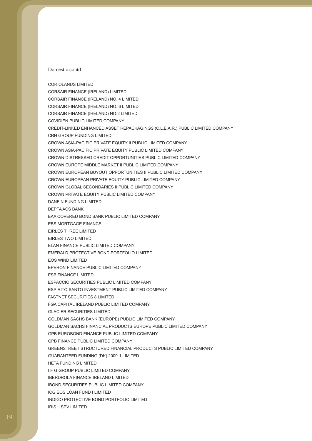#### Domestic contd

CORIOLANUS LIMITED CORSAIR FINANCE (IRELAND) LIMITED CORSAIR FINANCE (IRELAND) NO. 4 LIMITED CORSAIR FINANCE (IRELAND) NO. 6 LIMITED CORSAIR FINANCE (IRELAND) NO.2 LIMITED COVIDIEN PUBLIC LIMITED COMPANY CREDIT-LINKED ENHANCED ASSET REPACKAGINGS (C.L.E.A.R.) PUBLIC LIMITED COMPANY CRH GROUP FUNDING LIMITED CROWN ASIA-PACIFIC PRIVATE EQUITY II PUBLIC LIMITED COMPANY CROWN ASIA-PACIFIC PRIVATE EQUITY PUBLIC LIMITED COMPANY CROWN DISTRESSED CREDIT OPPORTUNITIES PUBLIC LIMITED COMPANY CROWN EUROPE MIDDLE MARKET II PUBLIC LIMITED COMPANY CROWN EUROPEAN BUYOUT OPPORTUNITIES II PUBLIC LIMITED COMPANY CROWN EUROPEAN PRIVATE EQUITY PUBLIC LIMITED COMPANY CROWN GLOBAL SECONDARIES II PUBLIC LIMITED COMPANY CROWN PRIVATE EQUITY PUBLIC LIMITED COMPANY DANFIN FUNDING LIMITED DEPFA ACS BANK EAA COVERED BOND BANK PUBLIC LIMITED COMPANY EBS MORTGAGE FINANCE EIRLES THREE LIMITED EIRLES TWO LIMITED ELAN FINANCE PUBLIC LIMITED COMPANY EMERALD PROTECTIVE BOND PORTFOLIO LIMITED EOS WIND LIMITED EPERON FINANCE PUBLIC LIMITED COMPANY ESB FINANCE LIMITED ESPACCIO SECURITIES PUBLIC LIMITED COMPANY ESPIRITO SANTO INVESTMENT PUBLIC LIMITED COMPANY FASTNET SECURITIES 8 LIMITED FGA CAPITAL IRELAND PUBLIC LIMITED COMPANY GLACIER SECURITIES LIMITED GOLDMAN SACHS BANK (EUROPE) PUBLIC LIMITED COMPANY GOLDMAN SACHS FINANCIAL PRODUCTS EUROPE PUBLIC LIMITED COMPANY GPB EUROBOND FINANCE PUBLIC LIMITED COMPANY GPB FINANCE PUBLIC LIMITED COMPANY GREENSTREET STRUCTURED FINANCIAL PRODUCTS PUBLIC LIMITED COMPANY GUARANTEED FUNDING (DK) 2009-1 LIMITED HETA FUNDING LIMITED I F G GROUP PUBLIC LIMITED COMPANY IBERDROLA FINANCE IRELAND LIMITED IBOND SECURITIES PUBLIC LIMITED COMPANY ICG EOS LOAN FUND I LIMITED INDIGO PROTECTIVE BOND PORTFOLIO LIMITED IRIS II SPV LIMITED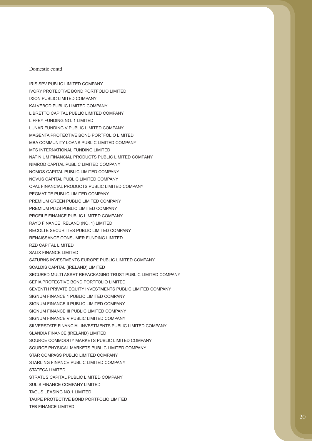#### Domestic contd

IRIS SPV PUBLIC LIMITED COMPANY IVORY PROTECTIVE BOND PORTFOLIO LIMITED IXION PUBLIC LIMITED COMPANY KALVEBOD PUBLIC LIMITED COMPANY LIBRETTO CAPITAL PUBLIC LIMITED COMPANY LIFFEY FUNDING NO. 1 LIMITED LUNAR FUNDING V PUBLIC LIMITED COMPANY MAGENTA PROTECTIVE BOND PORTFOLIO LIMITED MBA COMMUNITY LOANS PUBLIC LIMITED COMPANY MTS INTERNATIONAL FUNDING LIMITED NATINIUM FINANCIAL PRODUCTS PUBLIC LIMITED COMPANY NIMROD CAPITAL PUBLIC LIMITED COMPANY NOMOS CAPITAL PUBLIC LIMITED COMPANY NOVUS CAPITAL PUBLIC LIMITED COMPANY OPAL FINANCIAL PRODUCTS PUBLIC LIMITED COMPANY PEGMATITE PUBLIC LIMITED COMPANY PREMIUM GREEN PUBLIC LIMITED COMPANY PREMIUM PLUS PUBLIC LIMITED COMPANY PROFILE FINANCE PUBLIC LIMITED COMPANY RAYO FINANCE IRELAND (NO. 1) LIMITED RECOLTE SECURITIES PUBLIC LIMITED COMPANY RENAISSANCE CONSUMER FUNDING LIMITED RZD CAPITAL LIMITED SALIX FINANCE LIMITED SATURNS INVESTMENTS EUROPE PUBLIC LIMITED COMPANY SCALDIS CAPITAL (IRELAND) LIMITED SECURED MULTI ASSET REPACKAGING TRUST PUBLIC LIMITED COMPANY SEPIA PROTECTIVE BOND PORTFOLIO LIMITED SEVENTH PRIVATE EQUITY INVESTMENTS PUBLIC LIMITED COMPANY SIGNUM FINANCE 1 PUBLIC LIMITED COMPANY SIGNUM FINANCE II PUBLIC LIMITED COMPANY SIGNUM FINANCE III PUBLIC LIMITED COMPANY SIGNUM FINANCE V PUBLIC LIMITED COMPANY SILVERSTATE FINANCIAL INVESTMENTS PUBLIC LIMITED COMPANY SLANDIA FINANCE (IRELAND) LIMITED SOURCE COMMODITY MARKETS PUBLIC LIMITED COMPANY SOURCE PHYSICAL MARKETS PUBLIC LIMITED COMPANY STAR COMPASS PUBLIC LIMITED COMPANY STARLING FINANCE PUBLIC LIMITED COMPANY STATECA LIMITED STRATUS CAPITAL PUBLIC LIMITED COMPANY SULIS FINANCE COMPANY LIMITED TAGUS LEASING NO.1 LIMITED TAUPE PROTECTIVE BOND PORTFOLIO LIMITED TFB FINANCE LIMITED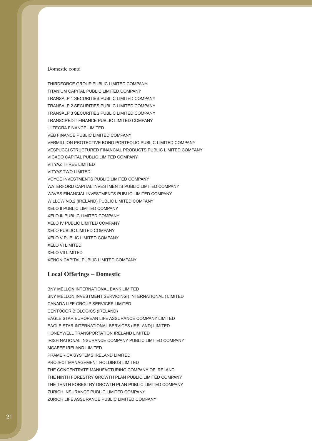#### Domestic contd

THIRDFORCE GROUP PUBLIC LIMITED COMPANY TITANIUM CAPITAL PUBLIC LIMITED COMPANY TRANSALP 1 SECURITIES PUBLIC LIMITED COMPANY TRANSALP 2 SECURITIES PUBLIC LIMITED COMPANY TRANSALP 3 SECURITIES PUBLIC LIMITED COMPANY TRANSCREDIT FINANCE PUBLIC LIMITED COMPANY ULTEGRA FINANCE LIMITED VEB FINANCE PUBLIC LIMITED COMPANY VERMILLION PROTECTIVE BOND PORTFOLIO PUBLIC LIMITED COMPANY VESPUCCI STRUCTURED FINANCIAL PRODUCTS PUBLIC LIMITED COMPANY VIGADO CAPITAL PUBLIC LIMITED COMPANY VITYAZ THREE LIMITED VITYAZ TWO LIMITED VOYCE INVESTMENTS PUBLIC LIMITED COMPANY WATERFORD CAPITAL INVESTMENTS PUBLIC LIMITED COMPANY WAVES FINANCIAL INVESTMENTS PUBLIC LIMITED COMPANY WILLOW NO.2 (IRELAND) PUBLIC LIMITED COMPANY XELO II PUBLIC LIMITED COMPANY XELO III PUBLIC LIMITED COMPANY XELO IV PUBLIC LIMITED COMPANY XELO PUBLIC LIMITED COMPANY XELO V PUBLIC LIMITED COMPANY XELO VI LIMITED XELO VII LIMITED XENON CAPITAL PUBLIC LIMITED COMPANY

### **Local Offerings – Domestic**

BNY MELLON INTERNATIONAL BANK LIMITED BNY MELLON INVESTMENT SERVICING ( INTERNATIONAL ) LIMITED CANADA LIFE GROUP SERVICES LIMITED CENTOCOR BIOLOGICS (IRELAND) EAGLE STAR EUROPEAN LIFE ASSURANCE COMPANY LIMITED EAGLE STAR INTERNATIONAL SERVICES (IRELAND) LIMITED HONEYWELL TRANSPORTATION IRELAND LIMITED IRISH NATIONAL INSURANCE COMPANY PUBLIC LIMITED COMPANY MCAFEE IRELAND LIMITED PRAMERICA SYSTEMS IRELAND LIMITED PROJECT MANAGEMENT HOLDINGS LIMITED THE CONCENTRATE MANUFACTURING COMPANY OF IRELAND THE NINTH FORESTRY GROWTH PLAN PUBLIC LIMITED COMPANY THE TENTH FORESTRY GROWTH PLAN PUBLIC LIMITED COMPANY ZURICH INSURANCE PUBLIC LIMITED COMPANY ZURICH LIFE ASSURANCE PUBLIC LIMITED COMPANY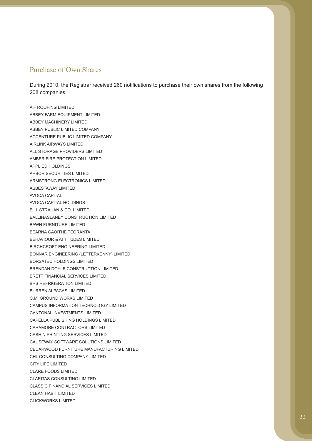### Purchase of Own Shares

During 2010, the Registrar received 260 notifications to purchase their own shares from the following 208 companies:

A F ROOFING LIMITED ABBEY FARM EQUIPMENT LIMITED ABBEY MACHINERY LIMITED ABBEY PUBLIC LIMITED COMPANY ACCENTURE PUBLIC LIMITED COMPANY AIRLINK AIRWAYS LIMITED ALL STORAGE PROVIDERS LIMITED AMBER FIRE PROTECTION LIMITED APPLIED HOLDINGS ARBOR SECURITIES LIMITED ARMSTRONG ELECTRONICS LIMITED ASBESTAWAY LIMITED AVOCA CAPITAL AVOCA CAPITAL HOLDINGS B. J. STRAHAN & CO. LIMITED BALLINASLANEY CONSTRUCTION LIMITED BAWN FURNITURE LIMITED BEARNA GAOITHE TEORANTA BEHAVIOUR & ATTITUDES LIMITED BIRCHCROFT ENGINEERING LIMITED BONNAR ENGINEERING (LETTERKENNY) LIMITED BORSATEC HOLDINGS LIMITED BRENDAN DOYLE CONSTRUCTION LIMITED BRETT FINANCIAL SERVICES LIMITED BRS REFRIGERATION LIMITED BURREN ALPACAS LIMITED C.M. GROUND WORKS LIMITED CAMPUS INFORMATION TECHNOLOGY LIMITED CANTONAL INVESTMENTS LIMITED CAPELLA PUBLISHING HOLDINGS LIMITED CARAMORE CONTRACTORS LIMITED CASHIN PRINTING SERVICES LIMITED CAUSEWAY SOFTWARE SOLUTIONS LIMITED CEDARWOOD FURNITURE MANUFACTURING LIMITED CHL CONSULTING COMPANY LIMITED CITY LIFE LIMITED CLARE FOODS LIMITED CLARITAS CONSULTING LIMITED CLASSIC FINANCIAL SERVICES LIMITED CLEAN HABIT LIMITED CLICKWORKS LIMITED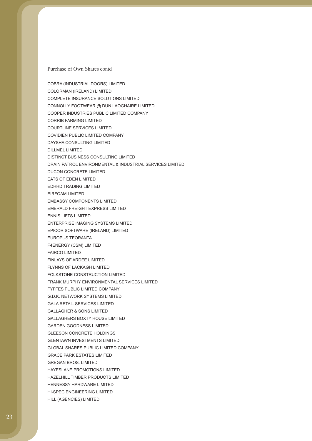COBRA (INDUSTRIAL DOORS) LIMITED COLORMAN (IRELAND) LIMITED COMPLETE INSURANCE SOLUTIONS LIMITED CONNOLLY FOOTWEAR @ DUN LAOGHAIRE LIMITED COOPER INDUSTRIES PUBLIC LIMITED COMPANY CORRIB FARMING LIMITED COURTLINE SERVICES LIMITED COVIDIEN PUBLIC LIMITED COMPANY DAYSHA CONSULTING LIMITED DILLMEL LIMITED DISTINCT BUSINESS CONSULTING LIMITED DRAIN PATROL ENVIRONMENTAL & INDUSTRIAL SERVICES LIMITED DUCON CONCRETE LIMITED EATS OF EDEN LIMITED EDHHD TRADING LIMITED EIRFOAM LIMITED EMBASSY COMPONENTS LIMITED EMERALD FREIGHT EXPRESS LIMITED ENNIS LIFTS LIMITED ENTERPRISE IMAGING SYSTEMS LIMITED EPICOR SOFTWARE (IRELAND) LIMITED EUROPUS TEORANTA F4ENERGY (CSM) LIMITED FAIRCO LIMITED FINLAYS OF ARDEE LIMITED FLYNNS OF LACKAGH LIMITED FOLKSTONE CONSTRUCTION LIMITED FRANK MURPHY ENVIRONMENTAL SERVICES LIMITED FYFFES PUBLIC LIMITED COMPANY G.D.K. NETWORK SYSTEMS LIMITED GALA RETAIL SERVICES LIMITED GALLAGHER & SONS LIMITED GALLAGHERS BOXTY HOUSE LIMITED GARDEN GOODNESS LIMITED GLEESON CONCRETE HOLDINGS GLENTAWN INVESTMENTS LIMITED GLOBAL SHARES PUBLIC LIMITED COMPANY GRACE PARK ESTATES LIMITED GREGAN BROS. LIMITED HAYESLANE PROMOTIONS LIMITED HAZELHILL TIMBER PRODUCTS LIMITED HENNESSY HARDWARE LIMITED HI-SPEC ENGINEERING LIMITED HILL (AGENCIES) LIMITED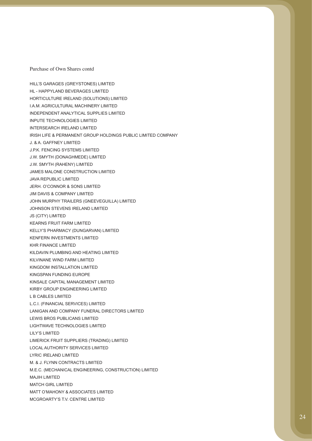HILL'S GARAGES (GREYSTONES) LIMITED HL - HAPPYLAND BEVERAGES LIMITED HORTICULTURE IRELAND (SOLUTIONS) LIMITED I.A.M. AGRICULTURAL MACHINERY LIMITED INDEPENDENT ANALYTICAL SUPPLIES LIMITED INPUTE TECHNOLOGIES LIMITED INTERSEARCH IRELAND LIMITED IRISH LIFE & PERMANENT GROUP HOLDINGS PUBLIC LIMITED COMPANY J. & A. GAFFNEY LIMITED J.P.K. FENCING SYSTEMS LIMITED J.W. SMYTH (DONAGHMEDE) LIMITED J.W. SMYTH (RAHENY) LIMITED JAMES MALONE CONSTRUCTION LIMITED JAVA REPUBLIC LIMITED JERH. O'CONNOR & SONS LIMITED JIM DAVIS & COMPANY LIMITED JOHN MURPHY TRAILERS (GNEEVEGUILLA) LIMITED JOHNSON STEVENS IRELAND LIMITED JS (CITY) LIMITED KEARNS FRUIT FARM LIMITED KELLY'S PHARMACY (DUNGARVAN) LIMITED KENFERN INVESTMENTS LIMITED KHR FINANCE LIMITED KILDAVIN PLUMBING AND HEATING LIMITED KILVINANE WIND FARM LIMITED KINGDOM INSTALLATION LIMITED KINGSPAN FUNDING EUROPE KINSALE CAPITAL MANAGEMENT LIMITED KIRBY GROUP ENGINEERING LIMITED L B CABLES LIMITED L.C.I. (FINANCIAL SERVICES) LIMITED LANIGAN AND COMPANY FUNERAL DIRECTORS LIMITED LEWIS BROS PUBLICANS LIMITED LIGHTWAVE TECHNOLOGIES LIMITED LILY'S LIMITED LIMERICK FRUIT SUPPLIERS (TRADING) LIMITED LOCAL AUTHORITY SERVICES LIMITED LYRIC IRELAND LIMITED M. & J. FLYNN CONTRACTS LIMITED M.E.C. (MECHANICAL ENGINEERING, CONSTRUCTION) LIMITED MAJIH LIMITED MATCH GIRL LIMITED MATT O'MAHONY & ASSOCIATES LIMITED MCGROARTY'S T.V. CENTRE LIMITED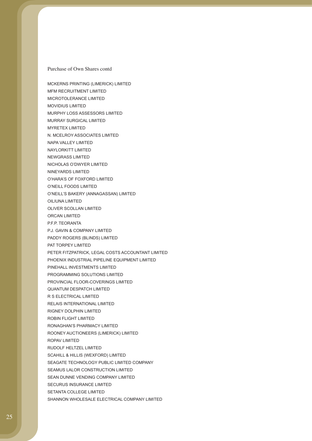MFM RECRUITMENT LIMITED MICROTOLERANCE LIMITED

MURRAY SURGICAL LIMITED

NICHOLAS O'DWYER LIMITED

O'HARA'S OF FOXFORD LIMITED

O'NEILL'S BAKERY (ANNAGASSAN) LIMITED

PETER FITZPATRICK, LEGAL COSTS ACCOUNTANT LIMITED PHOENIX INDUSTRIAL PIPELINE EQUIPMENT LIMITED

MOVIDIUS LIMITED

MYRETEX LIMITED

NAPA VALLEY LIMITED NAYLORKITT LIMITED NEWGRASS LIMITED

NINEYARDS LIMITED

OILIUNA LIMITED

ORCAN LIMITED P.F.P. TEORANTA

PAT TORPEY LIMITED

O'NEILL FOODS LIMITED

OLIVER SCOLLAN LIMITED

P.J. GAVIN & COMPANY LIMITED PADDY ROGERS (BLINDS) LIMITED

PINEHALL INVESTMENTS LIMITED PROGRAMMING SOLUTIONS LIMITED PROVINCIAL FLOOR-COVERINGS LIMITED

QUANTUM DESPATCH LIMITED R S ELECTRICAL LIMITED

RELAIS INTERNATIONAL LIMITED RIGNEY DOLPHIN LIMITED ROBIN FLIGHT LIMITED

RONAGHAN'S PHARMACY LIMITED

SCAHILL & HILLIS (WEXFORD) LIMITED

SEAMUS LALOR CONSTRUCTION LIMITED SEAN DUNNE VENDING COMPANY LIMITED

ROPAV LIMITED

RUDOLF HELTZEL LIMITED

SECURUS INSURANCE LIMITED SETANTA COLLEGE LIMITED

ROONEY AUCTIONEERS (LIMERICK) LIMITED

SEAGATE TECHNOLOGY PUBLIC LIMITED COMPANY

SHANNON WHOLESALE ELECTRICAL COMPANY LIMITED

MCKERNS PRINTING (LIMERICK) LIMITED

MURPHY LOSS ASSESSORS LIMITED

N. MCELROY ASSOCIATES LIMITED

25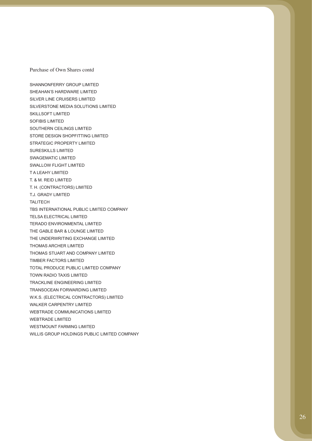SHANNONFERRY GROUP LIMITED SHEAHAN'S HARDWARE LIMITED SILVER LINE CRUISERS LIMITED SILVERSTONE MEDIA SOLUTIONS LIMITED SKILLSOFT LIMITED SOFIBIS LIMITED SOUTHERN CEILINGS LIMITED STORE DESIGN SHOPFITTING LIMITED STRATEGIC PROPERTY LIMITED SURESKILLS LIMITED SWAGEMATIC LIMITED SWALLOW FLIGHT LIMITED T A LEAHY LIMITED T. & M. REID LIMITED T. H. (CONTRACTORS) LIMITED T.J. GRADY LIMITED TALITECH TBS INTERNATIONAL PUBLIC LIMITED COMPANY TELSA ELECTRICAL LIMITED TERADO ENVIRONMENTAL LIMITED THE GABLE BAR & LOUNGE LIMITED THE UNDERWRITING EXCHANGE LIMITED THOMAS ARCHER LIMITED THOMAS STUART AND COMPANY LIMITED TIMBER FACTORS LIMITED TOTAL PRODUCE PUBLIC LIMITED COMPANY TOWN RADIO TAXIS LIMITED TRACKLINE ENGINEERING LIMITED TRANSOCEAN FORWARDING LIMITED W.K.S. (ELECTRICAL CONTRACTORS) LIMITED WALKER CARPENTRY LIMITED WEBTRADE COMMUNICATIONS LIMITED WEBTRADE LIMITED WESTMOUNT FARMING LIMITED WILLIS GROUP HOLDINGS PUBLIC LIMITED COMPANY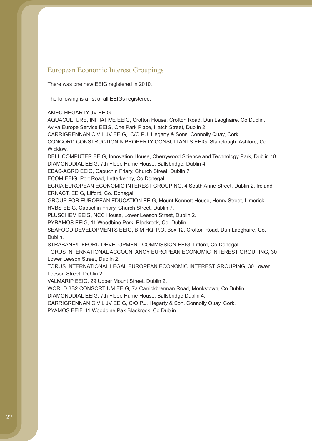## European Economic Interest Groupings

There was one new EEIG registered in 2010.

The following is a list of all EEIGs registered:

AMEC HEGARTY JV EEIG

AQUACULTURE, INITIATIVE EEIG, Crofton House, Crofton Road, Dun Laoghaire, Co Dublin. Aviva Europe Service EEIG, One Park Place, Hatch Street, Dublin 2

CARRIGRENNAN CIVIL JV EEIG, C/O P.J. Hegarty & Sons, Connolly Quay, Cork.

CONCORD CONSTRUCTION & PROPERTY CONSULTANTS EEIG, Slanelough, Ashford, Co Wicklow.

DELL COMPUTER EEIG, Innovation House, Cherrywood Science and Technology Park, Dublin 18. DIAMONDDIAL EEIG, 7th Floor, Hume House, Ballsbridge, Dublin 4.

EBAS-AGRO EEIG, Capuchin Friary, Church Street, Dublin 7

ECOM EEIG, Port Road, Letterkenny, Co Donegal.

ECRIA EUROPEAN ECONOMIC INTEREST GROUPING, 4 South Anne Street, Dublin 2, Ireland. ERNACT. EEIG, Lifford, Co. Donegal.

GROUP FOR EUROPEAN EDUCATION EEIG, Mount Kennett House, Henry Street, Limerick.

HVBS EEIG, Capuchin Friary, Church Street, Dublin 7.

PLUSCHEM EEIG, NCC House, Lower Leeson Street, Dublin 2.

PYRAMOS EEIG, 11 Woodbine Park, Blackrock, Co. Dublin.

SEAFOOD DEVELOPMENTS EEIG, BIM HQ. P.O. Box 12, Crofton Road, Dun Laoghaire, Co. Dublin.

STRABANE/LIFFORD DEVELOPMENT COMMISSION EEIG, Lifford, Co Donegal.

TORUS INTERNATIONAL ACCOUNTANCY EUROPEAN ECONOMIC INTEREST GROUPING, 30 Lower Leeson Street, Dublin 2.

TORUS INTERNATIONAL LEGAL EUROPEAN ECONOMIC INTEREST GROUPING, 30 Lower Leeson Street, Dublin 2.

VALMARIP EEIG, 29 Upper Mount Street, Dublin 2.

WORLD 3B2 CONSORTIUM EEIG, 7a Carrickbrennan Road, Monkstown, Co Dublin.

DIAMONDDIAL EEIG, 7th Floor, Hume House, Ballsbridge Dublin 4.

CARRIGRENNAN CIVIL JV EEIG, C/O P.J. Hegarty & Son, Connolly Quay, Cork.

PYAMOS EEIF, 11 Woodbine Pak Blackrock, Co Dublin.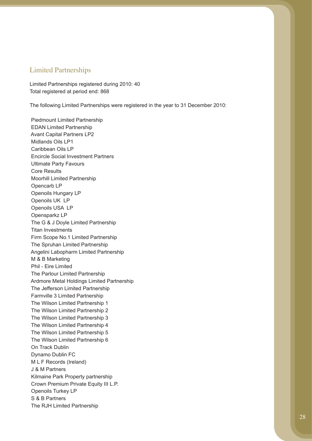### Limited Partnerships

Limited Partnerships registered during 2010: 40 Total registered at period end: 868

The following Limited Partnerships were registered in the year to 31 December 2010:

 Piedmount Limited Partnership EDAN Limited Partnership Avant Capital Partners LP2 Midlands Oils LP1 Caribbean Oils LP Encircle Social Investment Partners Ultimate Party Favours Core Results Moorhill Limited Partnership Opencarb LP Openoils Hungary LP Openoils UK LP Openoils USA LP Opensparkz LP The G & J Doyle Limited Partnership Titan Investments Firm Scope No.1 Limited Partnership The Spruhan Limited Partnership Angelini Labopharm Limited Partnership M & B Marketing Phil - Eire Limited The Parlour Limited Partnership Ardmore Metal Holdings Limited Partnership The Jefferson Limited Partnership Farmville 3 Limited Partnership The Wilson Limited Partnership 1 The Wilson Limited Partnership 2 The Wilson Limited Partnership 3 The Wilson Limited Partnership 4 The Wilson Limited Partnership 5 The Wilson Limited Partnership 6 On Track Dublin Dynamo Dublin FC M L F Records (Ireland) J & M Partners Kilmaine Park Property partnership Crown Premium Private Equity III L.P. Openoils Turkey LP S & B Partners The RJH Limited Partnership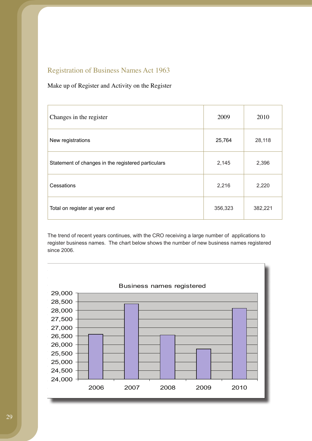## Registration of Business Names Act 1963

## Make up of Register and Activity on the Register

| Changes in the register                            | 2009    | 2010    |
|----------------------------------------------------|---------|---------|
| New registrations                                  | 25,764  | 28,118  |
| Statement of changes in the registered particulars | 2,145   | 2,396   |
| Cessations                                         | 2,216   | 2,220   |
| Total on register at year end                      | 356,323 | 382,221 |

The trend of recent years continues, with the CRO receiving a large number of applications to register business names. The chart below shows the number of new business names registered since 2006.

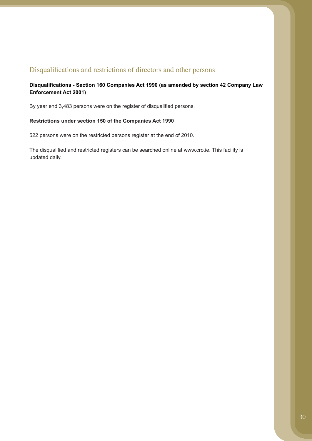## Disqualifications and restrictions of directors and other persons

### **Disqualifications - Section 160 Companies Act 1990 (as amended by section 42 Company Law Enforcement Act 2001)**

By year end 3,483 persons were on the register of disqualified persons.

### **Restrictions under section 150 of the Companies Act 1990**

522 persons were on the restricted persons register at the end of 2010.

The disqualified and restricted registers can be searched online at www.cro.ie. This facility is updated daily.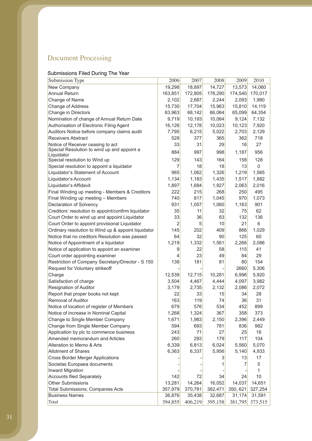# Document Processing

## Submissions Filed During The Year

| Submission Type                                     | 2006           | 2007    | 2008    | 2009     | 2010    |
|-----------------------------------------------------|----------------|---------|---------|----------|---------|
| New Company                                         | 19,298         | 18,897  | 14,727  | 13,573   | 14,060  |
| <b>Annual Return</b>                                | 163,851        | 172,805 | 178,290 | 174,540  | 170,017 |
| Change of Name                                      | 2,102          | 2,687   | 2,244   | 2,093    | 1,980   |
| Change of Address                                   | 15,730         | 17,704  | 15,963  | 15,810   | 14,119  |
| Change in Directors                                 | 63,963         | 68,142  | 66,064  | 65,099   | 64,354  |
| Nomination of change of Annual Return Date          | 9,719          | 10,193  | 10,064  | 9,124    | 7,132   |
| Authorisation of Electronic Filing Agent            | 16,126         | 12,178  | 10,023  | 10,123   | 7,920   |
| Auditors Notice before company claims audit         | 7,795          | 6,215   | 5,022   | 2,703    | 2,129   |
| <b>Receivers Abstract</b>                           | 528            | 377     | 365     | 362      | 718     |
| Notice of Receiver ceasing to act                   | 33             | 31      | 29      | 16       | 27      |
| Special Resolution to wind up and appoint a         | 884            | 997     | 998     | 1,187    | 956     |
| Liquidator<br>Special resolution to Wind up         | 129            | 143     | 164     | 158      | 128     |
| Special resolution to appoint a liquidator          | 7              | 18      | 18      | 13       | 0       |
| Liquidator's Statement of Account                   | 965            | 1,062   | 1,326   | 1,219    | 1,565   |
| Liquidator's Account                                | 1,134          | 1,183   | 1,435   | 1,517    | 1,882   |
| Liquidator's Affidavit                              | 1,897          | 1,684   | 1,927   | 2,063    | 2,016   |
| Final Winding up meeting - Members & Creditors      | 222            | 215     | 268     | 250      | 495     |
| Final Winding up meeting - Members                  | 740            | 817     | 1,045   | 970      | 1,073   |
| Declaration of Solvency                             | 931            | 1,057   | 1,060   | 1,163    | 901     |
| Creditors' resolution to appoint/confirm liquidator | 35             | 11      | 32      | 75       | 62      |
| Court Order to wind up and appoint Liquidator       | 33             | 36      | 83      | 132      | 136     |
| Court Order to appoint provisional Liquidator       | $\overline{2}$ | 5       | 10      | 21       | 6       |
| Ordinary resolution to Wind up & appoint liquidator | 145            | 202     | 409     | 866      | 1,029   |
| Notice that no creditors Resolution was passed      | 64             | 32      | 90      | 125      | 60      |
| Notice of Appointment of a liquidator               | 1,219          | 1,332   | 1,561   | 2,266    | 2,086   |
| Notice of application to appoint an examiner        | 9              | 22      | 58      | 115      | 41      |
| Court order appointing examiner                     | 4              | 23      | 49      | 84       | 29      |
| Restriction of Company Secretary/Director - S 150   | 138            | 181     | 81      | 80       | 154     |
| Request for Voluntary strikeoff                     |                |         |         | 2660     | 5,306   |
| Charge                                              | 12,539         | 12,715  | 10,281  | 6,996    | 5,920   |
| Satisfaction of charge                              | 3,504          | 4,467   | 4,444   | 4,097    | 3,982   |
| Resignation of Auditor                              | 3,179          | 2,735   | 2,132   | 2,086    | 2,072   |
| Report that proper books not kept                   | 22             | 33      | 15      | 34       | 28      |
| <b>Removal of Auditor</b>                           | 163            | 119     | 74      | 36       | 31      |
| Notice of location of register of Members           | 679            | 576     | 534     | 452      | 899     |
| Notice of increase in Nominal Capital               | 1,268          | 1,324   | 367     | 358      | 373     |
| Change to Single Member Company                     | 1,671          | 1,983   | 2,150   | 2,396    | 2,449   |
| Change from Single Member Company                   | 594            | 693     | 781     | 836      | 982     |
| Application by plc to commence business             | 243            | 71      | 27      | 25       | 16      |
| Amended memorandum and Articles                     | 260            | 293     | 179     | 117      | 104     |
| Alteration to Memo & Arts                           | 6,339          | 6,813   | 6,024   | 5,560    | 5,070   |
| <b>Allotment of Shares</b>                          | 6,363          | 6,337   | 5,956   | 5,140    | 4,933   |
| <b>Cross Border Merger Applications</b>             |                |         | 3       | 13       | 17      |
| Societas Europaea documents                         |                |         |         | 7        | 5       |
| <b>Inward Migration</b>                             |                |         |         |          | 1       |
| <b>Accounts filed Separately</b>                    | 142            | 72      | 34      | 24       | 10      |
| <b>Other Submissions</b>                            | 13,281         | 14,264  | 16,052  | 14,037   | 14,651  |
| Total Submissions; Companies Acts                   | 357,979        | 370,781 | 362,471 | 350, 621 | 327,254 |
| <b>Business Names</b>                               | 36,876         | 35,438  | 32,687  | 31,174   | 31,591  |
| Total                                               | 394,855        | 406,219 | 395,158 | 381,795  | 373,515 |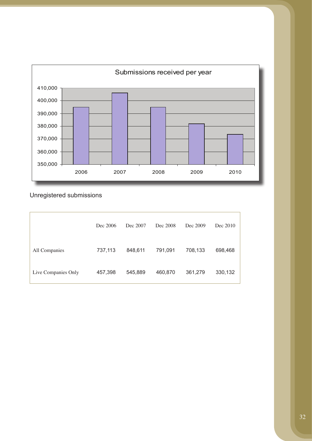

Unregistered submissions

|                     | Dec 2006 | Dec 2007 | Dec 2008 | Dec 2009 | Dec 2010 |
|---------------------|----------|----------|----------|----------|----------|
| All Companies       | 737,113  | 848,611  | 791,091  | 708,133  | 698,468  |
| Live Companies Only | 457,398  | 545,889  | 460,870  | 361,279  | 330,132  |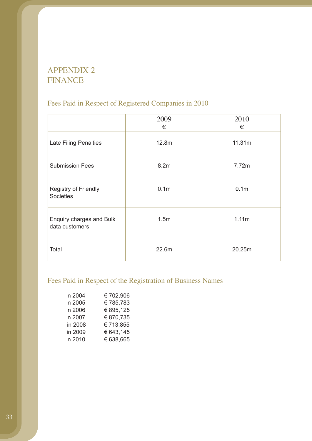# APPENDIX 2 FINANCE

# Fees Paid in Respect of Registered Companies in 2010

|                                            | 2009<br>€        | 2010<br>€        |
|--------------------------------------------|------------------|------------------|
| <b>Late Filing Penalties</b>               | 12.8m            | 11.31m           |
| <b>Submission Fees</b>                     | 8.2m             | 7.72m            |
| Registry of Friendly<br><b>Societies</b>   | 0.1 <sub>m</sub> | 0.1 <sub>m</sub> |
| Enquiry charges and Bulk<br>data customers | 1.5m             | 1.11m            |
| Total                                      | 22.6m            | 20.25m           |

# Fees Paid in Respect of the Registration of Business Names

| in 2004 | €702,906  |
|---------|-----------|
| in 2005 | €785,783  |
| in 2006 | € 895,125 |
| in 2007 | € 870,735 |
| in 2008 | €713,855  |
| in 2009 | € 643,145 |
| in 2010 | € 638,665 |
|         |           |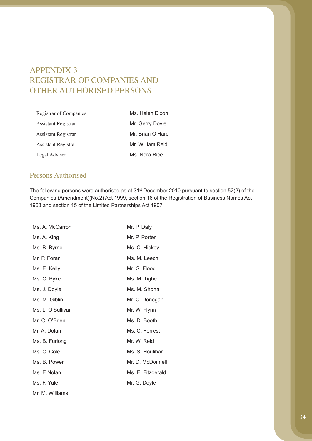# APPENDIX 3 REGISTRAR OF COMPANIES AND OTHER AUTHORISED PERSONS

| Registrar of Companies | Ms. Helen Dixon  |
|------------------------|------------------|
| Assistant Registrar    | Mr. Gerry Doyle  |
| Assistant Registrar    | Mr. Brian O'Hare |
| Assistant Registrar    | Mr. William Reid |
| Legal Adviser          | Ms. Nora Rice    |

## Persons Authorised

The following persons were authorised as at 31st December 2010 pursuant to section 52(2) of the Companies (Amendment)(No.2) Act 1999, section 16 of the Registration of Business Names Act 1963 and section 15 of the Limited Partnerships Act 1907:

| Ms. A. McCarron   | Mr. P. Daly       |
|-------------------|-------------------|
| Ms. A. King       | Mr. P. Porter     |
| Ms. B. Byrne      | Ms. C. Hickey     |
| Mr. P. Foran      | Ms. M. Leech      |
| Ms. E. Kelly      | Mr. G. Flood      |
| Ms. C. Pyke       | Ms. M. Tighe      |
| Ms. J. Doyle      | Ms. M. Shortall   |
| Ms. M. Giblin     | Mr. C. Donegan    |
| Ms. L. O'Sullivan | Mr. W. Flynn      |
| Mr. C. O'Brien    | Ms. D. Booth      |
| Mr. A. Dolan      | Ms. C. Forrest    |
| Ms. B. Furlong    | Mr. W. Reid       |
| Ms. C. Cole       | Ms. S. Houlihan   |
| Ms. B. Power      | Mr. D. McDonnell  |
| Ms. E.Nolan       | Ms. E. Fitzgerald |
| Ms. F. Yule       | Mr. G. Doyle      |
| Mr. M. Williams   |                   |